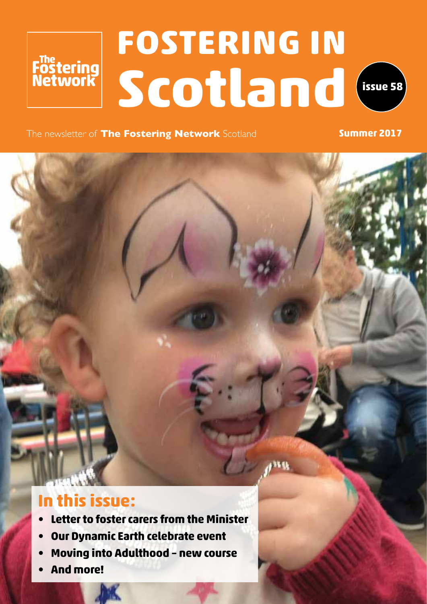# **FOSTERING IN** Fostering<br>Network **Scotland issue 58**



The newsletter of **The Fostering Network** Scotland **Summer 2017** 

### **In this issue:**

- **• Letter to foster carers from the Minister**
- **• Our Dynamic Earth celebrate event**
- **• Moving into Adulthood new course**
- **• And more!**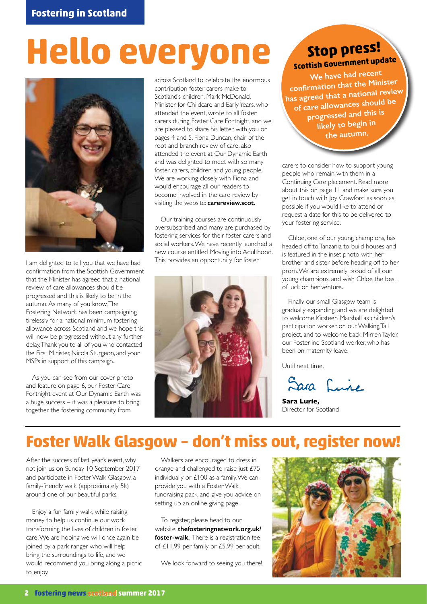# **Hello everyone**



I am delighted to tell you that we have had confirmation from the Scottish Government that the Minister has agreed that a national review of care allowances should be progressed and this is likely to be in the autumn. As many of you know, The Fostering Network has been campaigning tirelessly for a national minimum fostering allowance across Scotland and we hope this will now be progressed without any further delay. Thank you to all of you who contacted the First Minister, Nicola Sturgeon, and your MSPs in support of this campaign.

As you can see from our cover photo and feature on page 6, our Foster Care Fortnight event at Our Dynamic Earth was a huge success – it was a pleasure to bring together the fostering community from

across Scotland to celebrate the enormous contribution foster carers make to Scotland's children. Mark McDonald, Minister for Childcare and Early Years, who attended the event, wrote to all foster carers during Foster Care Fortnight, and we are pleased to share his letter with you on pages 4 and 5. Fiona Duncan, chair of the root and branch review of care, also attended the event at Our Dynamic Earth and was delighted to meet with so many foster carers, children and young people. We are working closely with Fiona and would encourage all our readers to become involved in the care review by visiting the website: **carereview.scot.**

Our training courses are continuously oversubscribed and many are purchased by fostering services for their foster carers and social workers. We have recently launched a new course entitled Moving into Adulthood. This provides an opportunity for foster



### **Stop press! Scottish Government update**

**We have had recen<sup>t</sup> confirmation that the Minister has agreed that a national review of care allowances should be progressed and this is likely to begin in the autumn.**

carers to consider how to support young people who remain with them in a Continuing Care placement. Read more about this on page 11 and make sure you get in touch with Joy Crawford as soon as possible if you would like to attend or request a date for this to be delivered to your fostering service.

Chloe, one of our young champions, has headed off to Tanzania to build houses and is featured in the inset photo with her brother and sister before heading off to her prom. We are extremely proud of all our young champions, and wish Chloe the best of luck on her venture.

Finally, our small Glasgow team is gradually expanding, and we are delighted to welcome Kirsteen Marshall as children's participation worker on our Walking Tall project, and to welcome back Mirren Taylor, our Fosterline Scotland worker, who has been on maternity leave.

Until next time,

Sara Lune

**Sara Lurie,**  Director for Scotland

### **Foster Walk Glasgow – don't miss out, register now!**

After the success of last year's event, why not join us on Sunday 10 September 2017 and participate in Foster Walk Glasgow, a family-friendly walk (approximately 5k) around one of our beautiful parks.

Enjoy a fun family walk, while raising money to help us continue our work transforming the lives of children in foster care. We are hoping we will once again be joined by a park ranger who will help bring the surroundings to life, and we would recommend you bring along a picnic to enjoy.

Walkers are encouraged to dress in orange and challenged to raise just £75 individually or £100 as a family. We can provide you with a Foster Walk fundraising pack, and give you advice on setting up an online giving page.

To register, please head to our website: **thefosteringnetwork.org.uk/ foster-walk.** There is a registration fee of £11.99 per family or £5.99 per adult.

We look forward to seeing you there!

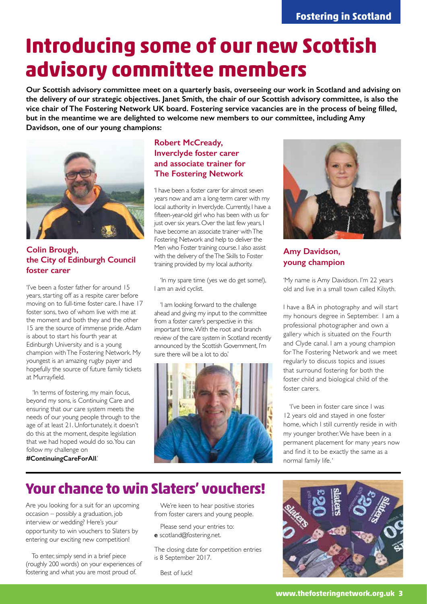## **Introducing some of our new Scottish advisory committee members**

**Our Scottish advisory committee meet on a quarterly basis, overseeing our work in Scotland and advising on the delivery of our strategic objectives. Janet Smith, the chair of our Scottish advisory committee, is also the vice chair of The Fostering Network UK board. Fostering service vacancies are in the process of being filled, but in the meantime we are delighted to welcome new members to our committee, including Amy Davidson, one of our young champions:**



### **Colin Brough, the City of Edinburgh Council foster carer**

'I've been a foster father for around 15 years, starting off as a respite carer before moving on to full-time foster care. I have 17 foster sons, two of whom live with me at the moment and both they and the other 15 are the source of immense pride. Adam is about to start his fourth year at Edinburgh University and is a young champion with The Fostering Network. My youngest is an amazing rugby payer and hopefully the source of future family tickets at Murrayfield.

'In terms of fostering, my main focus, beyond my sons, is Continuing Care and ensuring that our care system meets the needs of our young people through to the age of at least 21. Unfortunately, it doesn't do this at the moment, despite legislation that we had hoped would do so. You can follow my challenge on

#### **#ContinuingCareForAll**.'

### **Robert McCready, Inverclyde foster carer and associate trainer for The Fostering Network**

'I have been a foster carer for almost seven years now and am a long-term carer with my local authority in Inverclyde. Currently, I have a fifteen-year-old girl who has been with us for just over six years. Over the last few years, I have become an associate trainer with The Fostering Network and help to deliver the Men who Foster training course. I also assist with the delivery of the The Skills to Foster training provided by my local authority.

'In my spare time (yes we do get some!), I am an avid cyclist.

'I am looking forward to the challenge ahead and giving my input to the committee from a foster carer's perspective in this important time. With the root and branch review of the care system in Scotland recently announced by the Scottish Government, I'm sure there will be a lot to do.'





### **Amy Davidson, young champion**

'My name is Amy Davidson. I'm 22 years old and live in a small town called Kilsyth.

I have a BA in photography and will start my honours degree in September. I am a professional photographer and own a gallery which is situated on the Fourth and Clyde canal. I am a young champion for The Fostering Network and we meet regularly to discuss topics and issues that surround fostering for both the foster child and biological child of the foster carers.

'I've been in foster care since I was 12 years old and stayed in one foster home, which I still currently reside in with my younger brother. We have been in a permanent placement for many years now and find it to be exactly the same as a normal family life. '

### **Your chance to win Slaters' vouchers!**

Are you looking for a suit for an upcoming occasion – possibly a graduation, job interview or wedding? Here's your opportunity to win vouchers to Slaters by entering our exciting new competition!

To enter, simply send in a brief piece (roughly 200 words) on your experiences of fostering and what you are most proud of.

We're keen to hear positive stories from foster carers and young people.

Please send your entries to: **e** scotland@fostering.net.

The closing date for competition entries is 8 September 2017.

Best of luck!

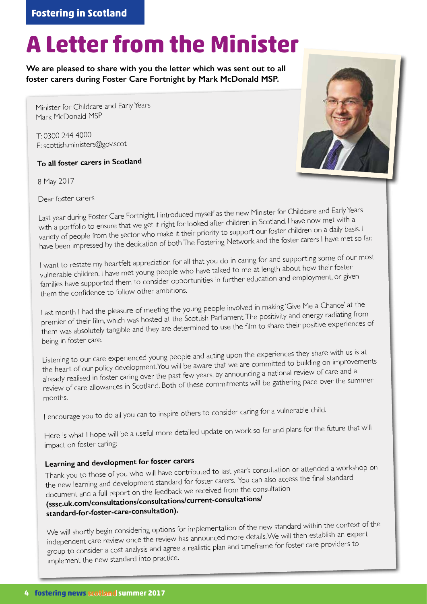# **A Letter from the Minister**

**We are pleased to share with you the letter which was sent out to all foster carers during Foster Care Fortnight by Mark McDonald MSP.**

Minister for Childcare and Early Years Mark McDonald MSP

T: 0300 244 4000 E: scottish.ministers@gov.scot

**To all foster carers in Scotland**

8 May 2017



Last year during Foster Care Fortnight, I introduced myself as the new Minister for Childcare and Early Years with a portfolio to ensure that we get it right for looked after children in Scotland. I have now met with a variety of people from the sector who make it their priority to support our foster children on a daily basis. I have been impressed by the dedication of both The Fostering Network and the foster carers I have met so far.

I want to restate my heartfelt appreciation for all that you do in caring for and supporting some of our most vulnerable children. I have met young people who have talked to me at length about how their foster families have supported them to consider opportunities in further education and employment, or given them the confidence to follow other ambitions.

Last month I had the pleasure of meeting the young people involved in making 'Give Me a Chance' at the premier of their film, which was hosted at the Scottish Parliament. The positivity and energy radiating from them was absolutely tangible and they are determined to use the film to share their positive experiences of being in foster care.

Listening to our care experienced young people and acting upon the experiences they share with us is at the heart of our policy development. You will be aware that we are committed to building on improvements already realised in foster caring over the past few years, by announcing a national review of care and a review of care allowances in Scotland. Both of these commitments will be gathering pace over the summer months.

I encourage you to do all you can to inspire others to consider caring for a vulnerable child.

Here is what I hope will be a useful more detailed update on work so far and plans for the future that will impact on foster caring:

### **Learning and development for foster carers**

Thank you to those of you who will have contributed to last year's consultation or attended a workshop on the new learning and development standard for foster carers. You can also access the final standard document and a full report on the feedback we received from the consultation **(sssc.uk.com/consultations/consultations/current-consultations/ standard-for-foster-care-consultation).** 

We will shortly begin considering options for implementation of the new standard within the context of the independent care review once the review has announced more details. We will then establish an expert group to consider a cost analysis and agree a realistic plan and timeframe for foster care providers to implement the new standard into practice.

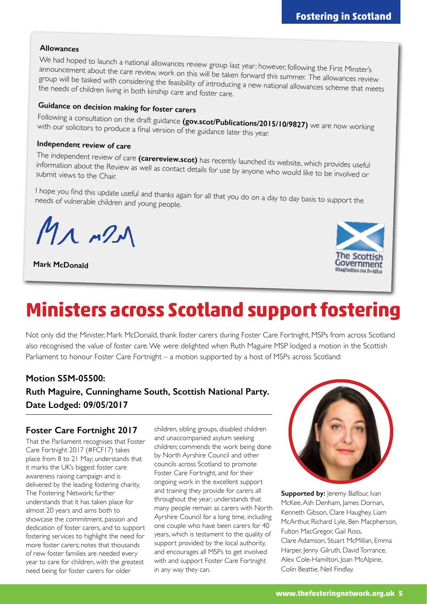#### **Allowances**

We had hoped to launch a national allowances review group last year; however, following the First Minster's announcement about the care review, work on this will be taken forward this summer. The allowances review group will be tasked with considering the feasibility of introducing a new national allowances scheme that meets the needs of children living in both kinship care and foster care.

### **Guidance on decision making for foster carers**

Following a consultation on the draft guidance **(gov.scot/Publications/2015/10/9827)** we are now working<br>with our solicitors to produce a final version of the guidance lateral i with our solicitors to produce a final version of the guidance later this year.

### **Independent review of care**

The independent review of care **(carereview.scot)** has recently launched its website, which provides useful information about the Review as well as contact details for use by anyone who would like to be involved or submit views to the Chair.

I hope you find this update useful and thanks again for all that you do on a day to day basis to support the needs of vulnerable children and young people.

 $M_{\Lambda}$   $n2$ 

**Mark McDonald**



## **Ministers across Scotland support fostering**

Not only did the Minister, Mark McDonald, thank foster carers during Foster Care Fortnight, MSPs from across Scotland also recognised the value of foster care. We were delighted when Ruth Maguire MSP lodged a motion in the Scottish Parliament to honour Foster Care Fortnight – a motion supported by a host of MSPs across Scotland:

### **Motion S5M-05500: Ruth Maguire, Cunninghame South, Scottish National Party. Date Lodged: 09/05/2017**

### **Foster Care Fortnight 2017**

That the Parliament recognises that Foster Care Fortnight 2017 (#FCF17) takes place from 8 to 21 May; understands that it marks the UK's biggest foster care awareness raising campaign and is delivered by the leading fostering charity, The Fostering Network; further understands that it has taken place for almost 20 years and aims both to showcase the commitment, passion and dedication of foster carers, and to support fostering services to highlight the need for more foster carers; notes that thousands of new foster families are needed every year to care for children, with the greatest need being for foster carers for older

children, sibling groups, disabled children and unaccompanied asylum seeking children; commends the work being done by North Ayrshire Council and other councils across Scotland to promote Foster Care Fortnight, and for their ongoing work in the excellent support and training they provide for carers all throughout the year; understands that many people remain as carers with North Ayrshire Council for a long time, including one couple who have been carers for 40 years, which is testament to the quality of support provided by the local authority, and encourages all MSPs to get involved with and support Foster Care Fortnight in any way they can.



**Supported by:** Jeremy Balfour, Ivan McKee, Ash Denham, James Dornan, Kenneth Gibson, Clare Haughey, Liam McArthur, Richard Lyle, Ben Macpherson, Fulton MacGregor, Gail Ross, Clare Adamson, Stuart McMillan, Emma Harper, Jenny Gilruth, David Torrance, Alex Cole-Hamilton, Joan McAlpine, Colin Beattie, Neil Findlay.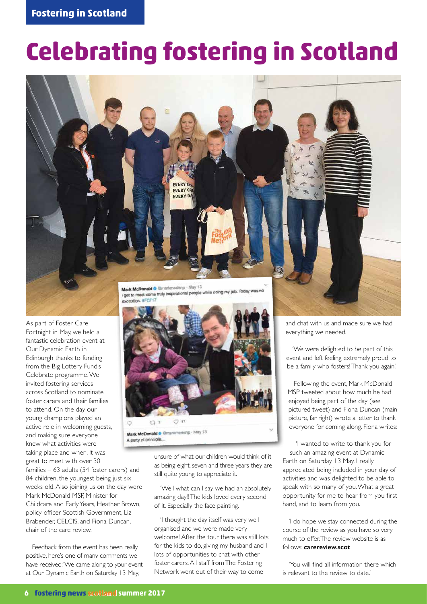# **Celebrating fostering in Scotland**



As part of Foster Care Fortnight in May, we held a fantastic celebration event at Our Dynamic Earth in Edinburgh thanks to funding from the Big Lottery Fund's Celebrate programme. We invited fostering services across Scotland to nominate foster carers and their families to attend. On the day our young champions played an active role in welcoming guests, and making sure everyone knew what activities were taking place and when. It was great to meet with over 30

families – 63 adults (54 foster carers) and 84 children, the youngest being just six weeks old. Also joining us on the day were Mark McDonald MSP, Minister for Childcare and Early Years, Heather Brown, policy officer Scottish Government, Liz Brabender, CELCIS, and Fiona Duncan, chair of the care review.

Feedback from the event has been really positive, here's one of many comments we have received: 'We came along to your event at Our Dynamic Earth on Saturday 13 May,



unsure of what our children would think of it as being eight, seven and three years they are still quite young to appreciate it.

'Well what can I say, we had an absolutely amazing day!! The kids loved every second of it. Especially the face painting.

'I thought the day itself was very well organised and we were made very welcome! After the tour there was still lots for the kids to do, giving my husband and I lots of opportunities to chat with other foster carers. All staff from The Fostering Network went out of their way to come

and chat with us and made sure we had everything we needed.

'We were delighted to be part of this event and left feeling extremely proud to be a family who fosters! Thank you again.'

Following the event, Mark McDonald MSP tweeted about how much he had enjoyed being part of the day (see pictured tweet) and Fiona Duncan (main picture, far right) wrote a letter to thank everyone for coming along. Fiona writes:

'I wanted to write to thank you for such an amazing event at Dynamic Earth on Saturday 13 May. I really appreciated being included in your day of activities and was delighted to be able to speak with so many of you. What a great opportunity for me to hear from you first hand, and to learn from you.

'I do hope we stay connected during the course of the review as you have so very much to offer. The review website is as follows: **carereview.scot**

'You will find all information there which is relevant to the review to date.'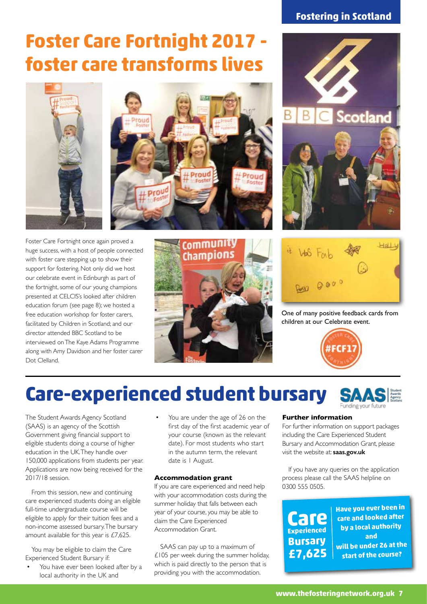## **Foster Care Fortnight 2017 foster care transforms lives**





Foster Care Fortnight once again proved a huge success, with a host of people connected with foster care stepping up to show their support for fostering. Not only did we host our celebrate event in Edinburgh as part of the fortnight, some of our young champions presented at CELCIS's looked after children education forum (see page 8); we hosted a free education workshop for foster carers, facilitated by Children in Scotland; and our director attended BBC Scotland to be interviewed on The Kaye Adams Programme along with Amy Davidson and her foster carer Dot Clelland.







One of many positive feedback cards from children at our Celebrate event.



## **Care-experienced student bursary**

The Student Awards Agency Scotland (SAAS) is an agency of the Scottish Government giving financial support to eligible students doing a course of higher education in the UK. They handle over 150,000 applications from students per year. Applications are now being received for the 2017/18 session.

From this session, new and continuing care experienced students doing an eligible full-time undergraduate course will be eligible to apply for their tuition fees and a non-income assessed bursary. The bursary amount available for this year is £7,625.

You may be eligible to claim the Care Experienced Student Bursary if:

You have ever been looked after by a local authority in the UK and

You are under the age of 26 on the first day of the first academic year of your course (known as the relevant date). For most students who start in the autumn term, the relevant date is 1 August.

#### **Accommodation grant**

If you are care experienced and need help with your accommodation costs during the summer holiday that falls between each year of your course, you may be able to claim the Care Experienced Accommodation Grant.

SAAS can pay up to a maximum of £105 per week during the summer holiday, which is paid directly to the person that is providing you with the accommodation.

#### **Further information**

For further information on support packages including the Care Experienced Student Bursary and Accommodation Grant, please visit the website at: **saas.gov.uk** 

If you have any queries on the application process please call the SAAS helpline on 0300 555 0505.

**Care Experienced Bursary £7,625**

**Have you ever been in care and looked after by a local authority and will be under 26 at the start of the course?**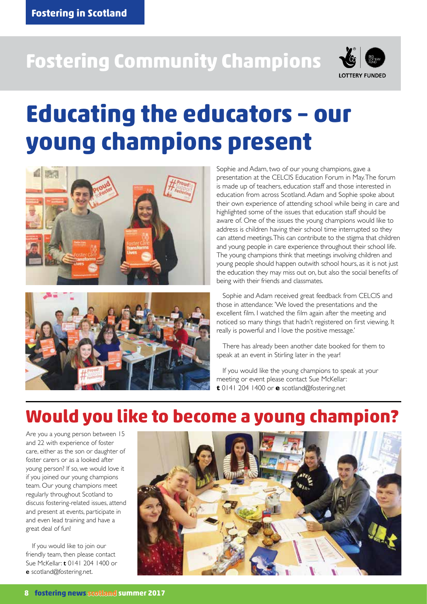# **Fostering Community Champions**



# **Educating the educators – our young champions present**





Sophie and Adam, two of our young champions, gave a presentation at the CELCIS Education Forum in May. The forum is made up of teachers, education staff and those interested in education from across Scotland. Adam and Sophie spoke about their own experience of attending school while being in care and highlighted some of the issues that education staff should be aware of. One of the issues the young champions would like to address is children having their school time interrupted so they can attend meetings. This can contribute to the stigma that children and young people in care experience throughout their school life. The young champions think that meetings involving children and young people should happen outwith school hours, as it is not just the education they may miss out on, but also the social benefits of being with their friends and classmates.

Sophie and Adam received great feedback from CELCIS and those in attendance: 'We loved the presentations and the excellent film. I watched the film again after the meeting and noticed so many things that hadn't registered on first viewing. It really is powerful and I love the positive message.'

There has already been another date booked for them to speak at an event in Stirling later in the year!

If you would like the young champions to speak at your meeting or event please contact Sue McKellar: **t** 0141 204 1400 or **e** scotland@fostering.net

### **Would you like to become a young champion?**

Are you a young person between 15 and 22 with experience of foster care, either as the son or daughter of foster carers or as a looked after young person? If so, we would love it if you joined our young champions team. Our young champions meet regularly throughout Scotland to discuss fostering-related issues, attend and present at events, participate in and even lead training and have a great deal of fun!

If you would like to join our friendly team, then please contact Sue McKellar: **t** 0141 204 1400 or **e** scotland@fostering.net.

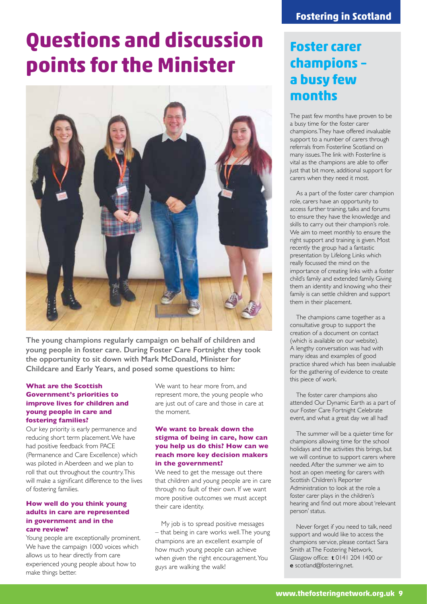# **Questions and discussion points for the Minister**



**The young champions regularly campaign on behalf of children and young people in foster care. During Foster Care Fortnight they took the opportunity to sit down with Mark McDonald, Minister for Childcare and Early Years, and posed some questions to him:** 

#### **What are the Scottish Government's priorities to improve lives for children and young people in care and fostering families?**

Our key priority is early permanence and reducing short term placement. We have had positive feedback from PACE (Permanence and Care Excellence) which was piloted in Aberdeen and we plan to roll that out throughout the country. This will make a significant difference to the lives of fostering families.

#### **How well do you think young adults in care are represented in government and in the care review?**

Young people are exceptionally prominent. We have the campaign 1000 voices which allows us to hear directly from care experienced young people about how to make things better.

We want to hear more from, and represent more, the young people who are just out of care and those in care at the moment.

#### **We want to break down the stigma of being in care, how can you help us do this? How can we reach more key decision makers in the government?**

We need to get the message out there that children and young people are in care through no fault of their own. If we want more positive outcomes we must accept their care identity.

My job is to spread positive messages – that being in care works well. The young champions are an excellent example of how much young people can achieve when given the right encouragement. You guys are walking the walk!

### **Foster carer champions – a busy few months**

The past few months have proven to be a busy time for the foster carer champions. They have offered invaluable support to a number of carers through referrals from Fosterline Scotland on many issues. The link with Fosterline is vital as the champions are able to offer just that bit more, additional support for carers when they need it most.

As a part of the foster carer champion role, carers have an opportunity to access further training, talks and forums to ensure they have the knowledge and skills to carry out their champion's role. We aim to meet monthly to ensure the right support and training is given. Most recently the group had a fantastic presentation by Lifelong Links which really focussed the mind on the importance of creating links with a foster child's family and extended family. Giving them an identity and knowing who their family is can settle children and support them in their placement.

The champions came together as a consultative group to support the creation of a document on contact (which is available on our website). A lengthy conversation was had with many ideas and examples of good practice shared which has been invaluable for the gathering of evidence to create this piece of work.

The foster carer champions also attended Our Dynamic Earth as a part of our Foster Care Fortnight Celebrate event, and what a great day we all had!

The summer will be a quieter time for champions allowing time for the school holidays and the activities this brings, but we will continue to support carers where needed. After the summer we aim to host an open meeting for carers with Scottish Children's Reporter Administration to look at the role a foster carer plays in the children's hearing and find out more about 'relevant person' status.

Never forget if you need to talk, need support and would like to access the champions service, please contact Sara Smith at The Fostering Network, Glasgow office: **t** 0141 204 1400 or **e** scotland@fostering.net.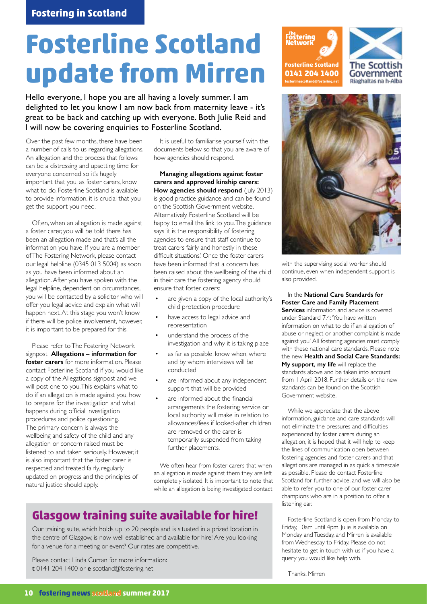# **Fosterline Scotland update from Mirren**

Hello everyone, I hope you are all having a lovely summer. I am delighted to let you know I am now back from maternity leave - it's great to be back and catching up with everyone. Both Julie Reid and I will now be covering enquiries to Fosterline Scotland.

Over the past few months, there have been a number of calls to us regarding allegations. An allegation and the process that follows can be a distressing and upsetting time for everyone concerned so it's hugely important that you, as foster carers, know what to do. Fosterline Scotland is available to provide information, it is crucial that you get the support you need.

Often, when an allegation is made against a foster carer, you will be told there has been an allegation made and that's all the information you have. If you are a member of The Fostering Network, please contact our legal helpline (0345 013 5004) as soon as you have been informed about an allegation. After you have spoken with the legal helpline, dependent on circumstances, you will be contacted by a solicitor who will offer you legal advice and explain what will happen next. At this stage you won't know if there will be police involvement, however, it is important to be prepared for this.

Please refer to The Fostering Network signpost **Allegations – information for foster carers** for more information. Please contact Fosterline Scotland if you would like a copy of the Allegations signpost and we will post one to you. This explains what to do if an allegation is made against you, how to prepare for the investigation and what happens during official investigation procedures and police questioning. The primary concern is always the wellbeing and safety of the child and any allegation or concern raised must be listened to and taken seriously. However, it is also important that the foster carer is respected and treated fairly, regularly updated on progress and the principles of natural justice should apply.

It is useful to familiarise yourself with the documents below so that you are aware of how agencies should respond.

**Managing allegations against foster carers and approved kinship carers: How agencies should respond** (July 2013) is good practice guidance and can be found on the Scottish Government website. Alternatively, Fosterline Scotland will be happy to email the link to you. The guidance says 'it is the responsibility of fostering agencies to ensure that staff continue to treat carers fairly and honestly in these difficult situations.' Once the foster carers have been informed that a concern has been raised about the wellbeing of the child in their care the fostering agency should ensure that foster carers:

- are given a copy of the local authority's child protection procedure
- have access to legal advice and representation
- understand the process of the investigation and why it is taking place
- as far as possible, know when, where and by whom interviews will be conducted
- are informed about any independent support that will be provided
- are informed about the financial arrangements the fostering service or local authority will make in relation to allowances/fees if looked-after children are removed or the carer is temporarily suspended from taking further placements.

We often hear from foster carers that when an allegation is made against them they are left completely isolated. It is important to note that while an allegation is being investigated contact

### **Glasgow training suite available for hire!**

Our training suite, which holds up to 20 people and is situated in a prized location in the centre of Glasgow, is now well established and available for hire! Are you looking for a venue for a meeting or event? Our rates are competitive.

Please contact Linda Curran for more information: **t** 0141 204 1400 or **e** scotland@fostering.net





with the supervising social worker should continue, even when independent support is also provided.

In the **National Care Standards for Foster Care and Family Placement Services** information and advice is covered under Standard 7.4: 'You have written information on what to do if an allegation of abuse or neglect or another complaint is made against you.' All fostering agencies must comply with these national care standards. Please note the new **Health and Social Care Standards: My support, my life** will replace the standards above and be taken into account from 1 April 2018. Further details on the new standards can be found on the Scottish Government website.

While we appreciate that the above information, guidance and care standards will not eliminate the pressures and difficulties experienced by foster carers during an allegation, it is hoped that it will help to keep the lines of communication open between fostering agencies and foster carers and that allegations are managed in as quick a timescale as possible. Please do contact Fosterline Scotland for further advice, and we will also be able to refer you to one of our foster carer champions who are in a position to offer a listening ear.

Fosterline Scotland is open from Monday to Friday, 10am until 4pm. Julie is available on Monday and Tuesday, and Mirren is available from Wednesday to Friday. Please do not hesitate to get in touch with us if you have a query you would like help with.

Thanks, Mirren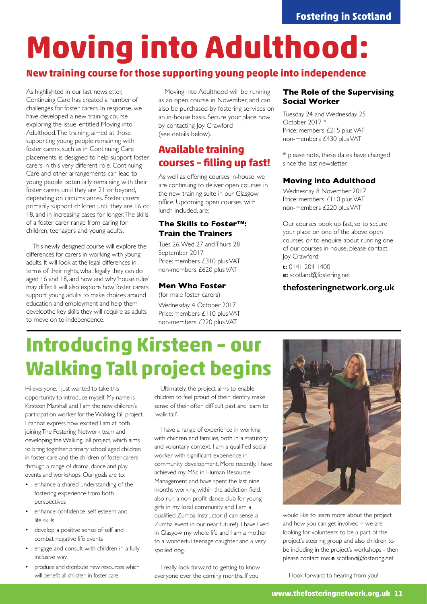# **Moving into Adulthood:**

### **New training course for those supporting young people into independence**

As highlighted in our last newsletter, Continuing Care has created a number of challenges for foster carers. In response, we have developed a new training course exploring the issue, entitled Moving into Adulthood. The training, aimed at those supporting young people remaining with foster carers, such as in Continuing Care placements, is designed to help support foster carers in this very different role. Continuing Care and other arrangements can lead to young people potentially remaining with their foster carers until they are 21 or beyond, depending on circumstances. Foster carers primarily support children until they are 16 or 18, and in increasing cases for longer. The skills of a foster carer range from caring for children, teenagers and young adults.

This newly designed course will explore the differences for carers in working with young adults. It will look at the legal differences in terms of their rights, what legally they can do aged 16 and 18, and how and why 'house rules' may differ. It will also explore how foster carers support young adults to make choices around education and employment and help them developthe key skills they will require as adults to move on to independence.

Moving into Adulthood will be running as an open course in November, and can also be purchased by fostering services on an in-house basis. Secure your place now by contacting Joy Crawford (see details below).

### **Available training courses – filling up fast!**

As well as offering courses in-house, we are continuing to deliver open courses in the new training suite in our Glasgow office. Upcoming open courses, with lunch included, are:

### **The Skills to Foster™: Train the Trainers**

Tues 26, Wed 27 and Thurs 28 September 2017 Price: members £310 plus VAT non-members £620 plus VAT

#### **Men Who Foster**

(for male foster carers) Wednesday 4 October 2017 Price: members £110 plus VAT non-members £220 plus VAT

#### **The Role of the Supervising Social Worker**

Tuesday 24 and Wednesday 25 October 2017 \* Price: members £215 plus VAT non-members £430 plus VAT

\* please note, these dates have changed since the last newsletter.

### **Moving into Adulthood**

Wednesday 8 November 2017 Price: members £110 plus VAT non-members £220 plus VAT

Our courses book up fast, so to secure your place on one of the above open courses, or to enquire about running one of our courses in-house, please contact lov Crawford:

**t:** 0141 204 1400 **e:** scotland@fostering.net

### **thefosteringnetwork.org.uk**

# **Introducing Kirsteen – our Walking Tall project begins**

Hi everyone. I just wanted to take this opportunity to introduce myself. My name is Kirsteen Marshall and I am the new children's participation worker for the Walking Tall project. I cannot express how excited I am at both joining The Fostering Network team and developing the Walking Tall project, which aims to bring together primary school aged children in foster care and the children of foster carers through a range of drama, dance and play events and workshops. Our goals are to:

- enhance a shared understanding of the fostering experience from both perspectives
- enhance confidence, self-esteem and life skills
- develop a positive sense of self and combat negative life events
- engage and consult with children in a fully inclusive way
- produce and distribute new resources which will benefit all children in foster care.

Ultimately, the project aims to enable children to feel proud of their identity, make sense of their often difficult past and learn to 'walk tall'.

I have a range of experience in working with children and families, both in a statutory and voluntary context. I am a qualified social worker with significant experience in community development. More recently, I have achieved my MSc in Human Resource Management and have spent the last nine months working within the addiction field. I also run a non-profit dance club for young girls in my local community and I am a qualified Zumba Instructor (I can sense a Zumba event in our near future!). I have lived in Glasgow my whole life and I am a mother to a wonderful teenage daughter and a very spoiled dog.

I really look forward to getting to know everyone over the coming months. If you



would like to learn more about the project and how you can get involved – we are looking for volunteers to be a part of the project's steering group and also children to be including in the project's workshops - then please contact me: **e** scotland@fostering.net

I look forward to hearing from you!